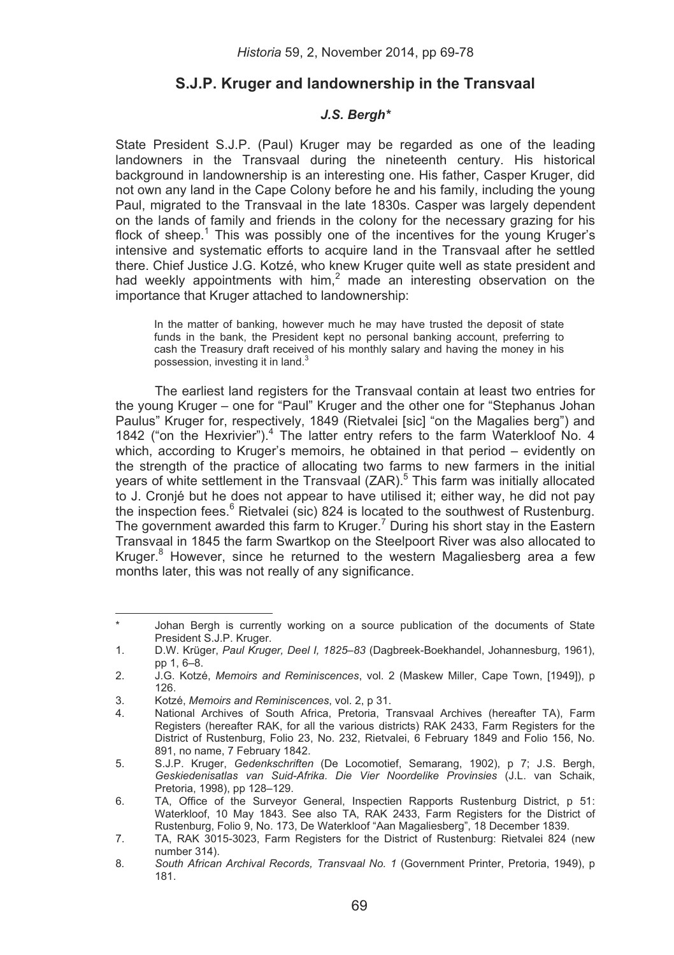# **S.J.P. Kruger and landownership in the Transvaal**

## *J.S. Bergh\**

State President S.J.P. (Paul) Kruger may be regarded as one of the leading landowners in the Transvaal during the nineteenth century. His historical background in landownership is an interesting one. His father, Casper Kruger, did not own any land in the Cape Colony before he and his family, including the young Paul, migrated to the Transvaal in the late 1830s. Casper was largely dependent on the lands of family and friends in the colony for the necessary grazing for his flock of sheep.<sup>1</sup> This was possibly one of the incentives for the young Kruger's intensive and systematic efforts to acquire land in the Transvaal after he settled there. Chief Justice J.G. Kotzé, who knew Kruger quite well as state president and had weekly appointments with  $\lim_{n \to \infty} 2$  made an interesting observation on the importance that Kruger attached to landownership:

In the matter of banking, however much he may have trusted the deposit of state funds in the bank, the President kept no personal banking account, preferring to cash the Treasury draft received of his monthly salary and having the money in his possession, investing it in land.<sup>3</sup>

The earliest land registers for the Transvaal contain at least two entries for the young Kruger – one for "Paul" Kruger and the other one for "Stephanus Johan Paulus" Kruger for, respectively, 1849 (Rietvalei [sic] "on the Magalies berg") and 1842 ("on the Hexrivier").<sup>4</sup> The latter entry refers to the farm Waterkloof No. 4 which, according to Kruger's memoirs, he obtained in that period – evidently on the strength of the practice of allocating two farms to new farmers in the initial years of white settlement in the Transvaal (ZAR).<sup>5</sup> This farm was initially allocated to J. Cronjé but he does not appear to have utilised it; either way, he did not pay the inspection fees.<sup>6</sup> Rietvalei (sic) 824 is located to the southwest of Rustenburg. The government awarded this farm to Kruger.<sup>7</sup> During his short stay in the Eastern Transvaal in 1845 the farm Swartkop on the Steelpoort River was also allocated to Kruger.<sup>8</sup> However, since he returned to the western Magaliesberg area a few months later, this was not really of any significance.

<sup>&</sup>lt;u> Alexandria de la contexta de la contexta de la contexta de la contexta de la contexta de la contexta de la c</u> Johan Bergh is currently working on a source publication of the documents of State President S.J.P. Kruger.

<sup>1.</sup> D.W. Krüger, *Paul Kruger, Deel I, 1825–83* (Dagbreek-Boekhandel, Johannesburg, 1961), pp 1, 6–8.

<sup>2.</sup> J.G. Kotzé, *Memoirs and Reminiscences*, vol. 2 (Maskew Miller, Cape Town, [1949]), p 126.

<sup>3.</sup> Kotzé, *Memoirs and Reminiscences*, vol. 2, p 31.

National Archives of South Africa, Pretoria, Transvaal Archives (hereafter TA), Farm Registers (hereafter RAK, for all the various districts) RAK 2433, Farm Registers for the District of Rustenburg, Folio 23, No. 232, Rietvalei, 6 February 1849 and Folio 156, No. 891, no name, 7 February 1842.

<sup>5.</sup> S.J.P. Kruger, *Gedenkschriften* (De Locomotief, Semarang, 1902), p 7; J.S. Bergh, *Geskiedenisatlas van Suid-Afrika. Die Vier Noordelike Provinsies* (J.L. van Schaik, Pretoria, 1998), pp 128–129.

<sup>6.</sup> TA, Office of the Surveyor General, Inspectien Rapports Rustenburg District, p 51: Waterkloof, 10 May 1843. See also TA, RAK 2433, Farm Registers for the District of Rustenburg, Folio 9, No. 173, De Waterkloof "Aan Magaliesberg", 18 December 1839.

<sup>7.</sup> TA, RAK 3015-3023, Farm Registers for the District of Rustenburg: Rietvalei 824 (new number 314).

<sup>8</sup>*. South African Archival Records, Transvaal No. 1* (Government Printer, Pretoria, 1949), p 181.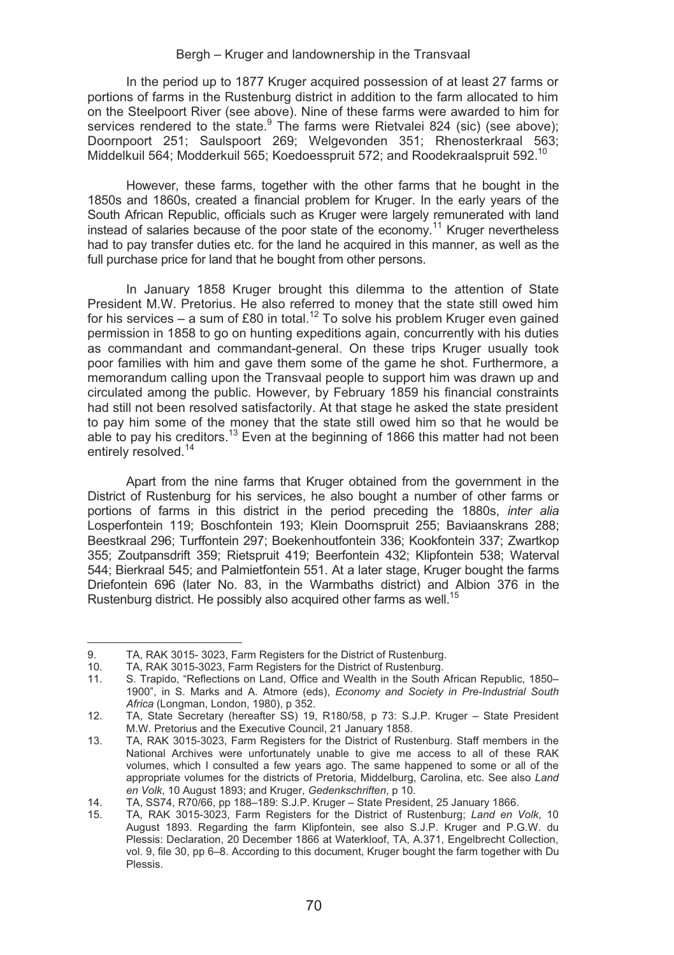In the period up to 1877 Kruger acquired possession of at least 27 farms or portions of farms in the Rustenburg district in addition to the farm allocated to him on the Steelpoort River (see above). Nine of these farms were awarded to him for services rendered to the state. The farms were Rietvalei 824 (sic) (see above); Doornpoort 251; Saulspoort 269; Welgevonden 351; Rhenosterkraal 563; Middelkuil 564; Modderkuil 565; Koedoesspruit 572; and Roodekraalspruit 592.10

However, these farms, together with the other farms that he bought in the 1850s and 1860s, created a financial problem for Kruger. In the early years of the South African Republic, officials such as Kruger were largely remunerated with land instead of salaries because of the poor state of the economy.11 Kruger nevertheless had to pay transfer duties etc. for the land he acquired in this manner, as well as the full purchase price for land that he bought from other persons.

In January 1858 Kruger brought this dilemma to the attention of State President M.W. Pretorius. He also referred to money that the state still owed him for his services – a sum of £80 in total.<sup>12</sup> To solve his problem Kruger even gained permission in 1858 to go on hunting expeditions again, concurrently with his duties as commandant and commandant-general. On these trips Kruger usually took poor families with him and gave them some of the game he shot. Furthermore, a memorandum calling upon the Transvaal people to support him was drawn up and circulated among the public. However, by February 1859 his financial constraints had still not been resolved satisfactorily. At that stage he asked the state president to pay him some of the money that the state still owed him so that he would be able to pay his creditors.13 Even at the beginning of 1866 this matter had not been entirely resolved.<sup>14</sup>

Apart from the nine farms that Kruger obtained from the government in the District of Rustenburg for his services, he also bought a number of other farms or portions of farms in this district in the period preceding the 1880s, *inter alia*  Losperfontein 119; Boschfontein 193; Klein Doornspruit 255; Baviaanskrans 288; Beestkraal 296; Turffontein 297; Boekenhoutfontein 336; Kookfontein 337; Zwartkop 355; Zoutpansdrift 359; Rietspruit 419; Beerfontein 432; Klipfontein 538; Waterval 544; Bierkraal 545; and Palmietfontein 551. At a later stage, Kruger bought the farms Driefontein 696 (later No. 83, in the Warmbaths district) and Albion 376 in the Rustenburg district. He possibly also acquired other farms as well.15

9. TA, RAK 3015- 3023, Farm Registers for the District of Rustenburg.<br>10. TA, RAK 3015-3023, Farm Registers for the District of Rustenburg.

<sup>10.</sup> TA, RAK 3015-3023, Farm Registers for the District of Rustenburg.<br>11. S. Trapido. "Reflections on Land. Office and Wealth in the South

S. Trapido, "Reflections on Land, Office and Wealth in the South African Republic, 1850– 1900", in S. Marks and A. Atmore (eds), *Economy and Society in Pre-Industrial South Africa* (Longman, London, 1980), p 352.

<sup>12.</sup> TA, State Secretary (hereafter SS) 19, R180/58, p 73: S.J.P. Kruger – State President M.W. Pretorius and the Executive Council, 21 January 1858.

<sup>13.</sup> TA, RAK 3015-3023, Farm Registers for the District of Rustenburg. Staff members in the National Archives were unfortunately unable to give me access to all of these RAK volumes, which I consulted a few years ago. The same happened to some or all of the appropriate volumes for the districts of Pretoria, Middelburg, Carolina, etc. See also *Land en Volk*, 10 August 1893; and Kruger, *Gedenkschriften*, p 10.

<sup>14.</sup> TA, SS74, R70/66, pp 188–189: S.J.P. Kruger – State President, 25 January 1866.<br>15. TA, RAK 3015-3023. Farm Registers for the District of Rustenburg: Land en

<sup>15.</sup> TA, RAK 3015-3023, Farm Registers for the District of Rustenburg; *Land en Volk*, 10 August 1893. Regarding the farm Klipfontein, see also S.J.P. Kruger and P.G.W. du Plessis: Declaration, 20 December 1866 at Waterkloof, TA, A.371, Engelbrecht Collection, vol. 9, file 30, pp 6–8. According to this document, Kruger bought the farm together with Du Plessis.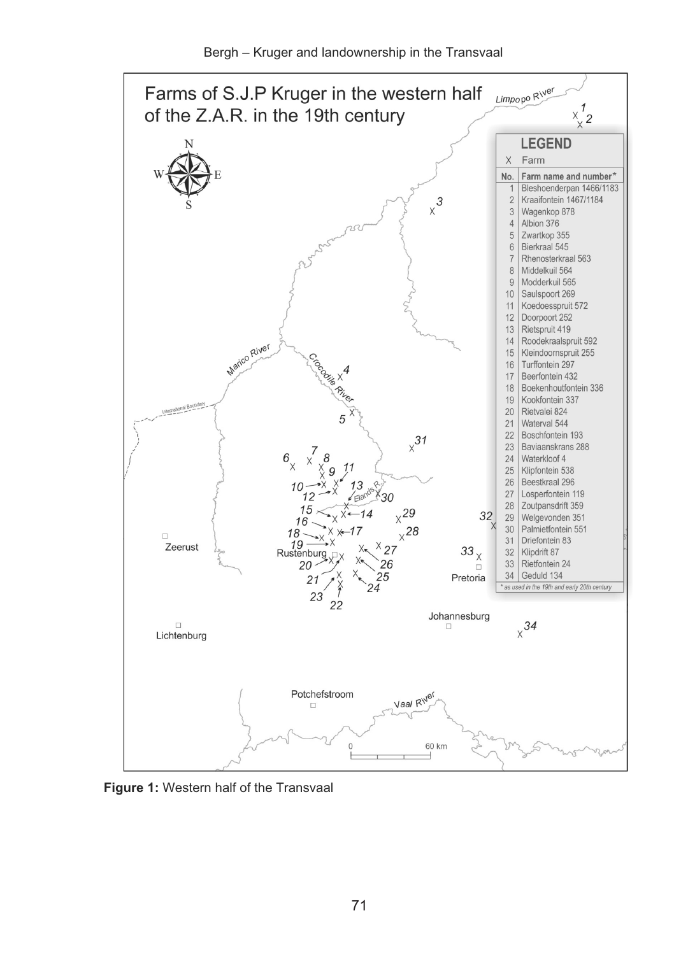



**Figure 1:** Western half of the Transvaal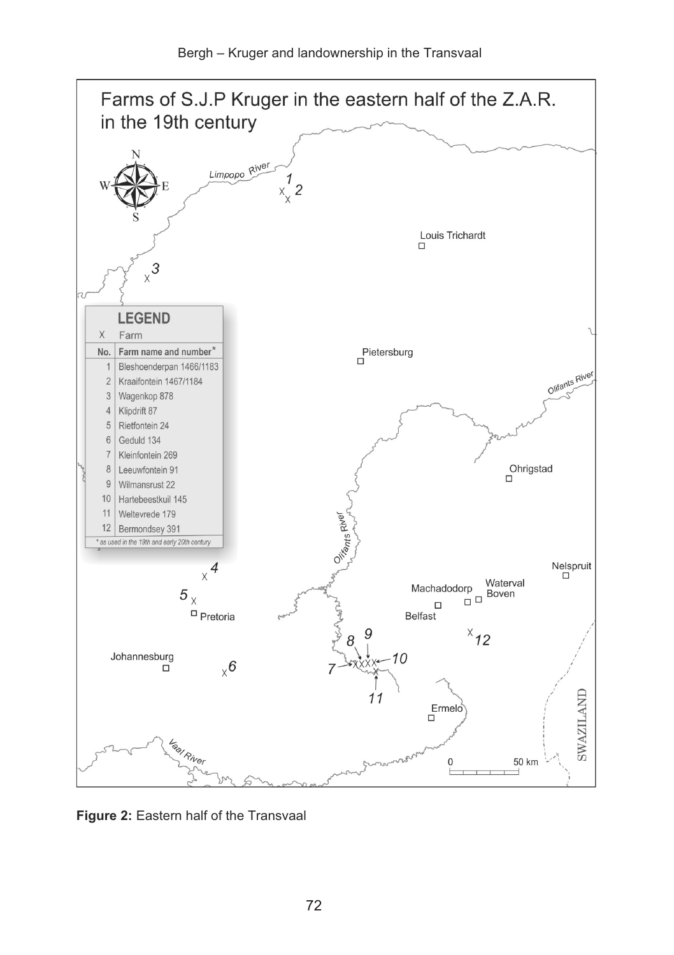

**Figure 2:** Eastern half of the Transvaal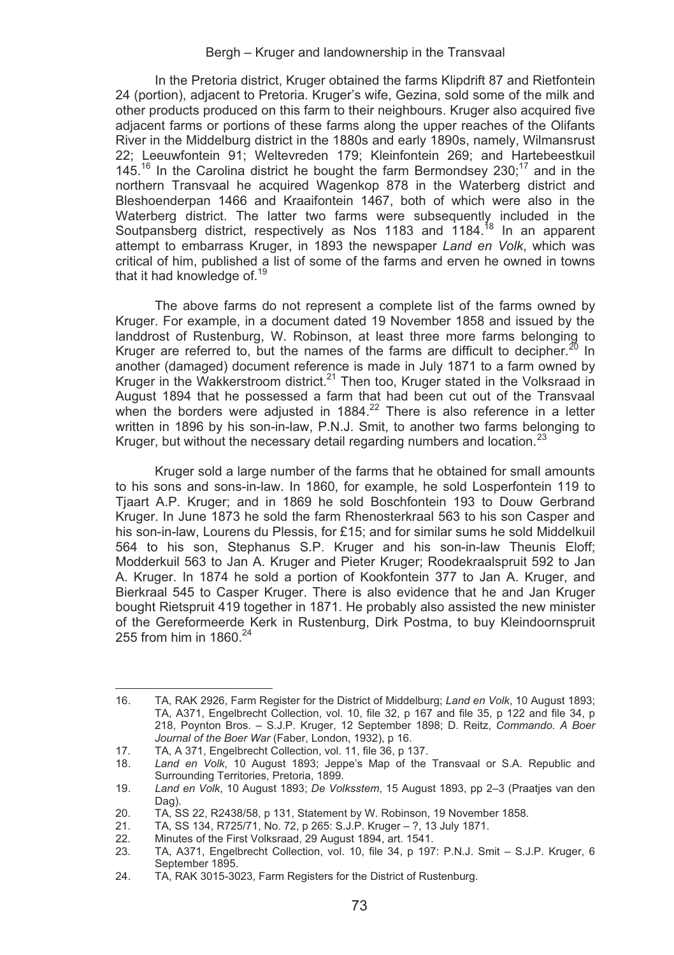In the Pretoria district, Kruger obtained the farms Klipdrift 87 and Rietfontein 24 (portion), adjacent to Pretoria. Kruger's wife, Gezina, sold some of the milk and other products produced on this farm to their neighbours. Kruger also acquired five adjacent farms or portions of these farms along the upper reaches of the Olifants River in the Middelburg district in the 1880s and early 1890s, namely, Wilmansrust 22; Leeuwfontein 91; Weltevreden 179; Kleinfontein 269; and Hartebeestkuil  $145^{16}$  In the Carolina district he bought the farm Bermondsey 230;<sup>17</sup> and in the northern Transvaal he acquired Wagenkop 878 in the Waterberg district and Bleshoenderpan 1466 and Kraaifontein 1467, both of which were also in the Waterberg district. The latter two farms were subsequently included in the Soutpansberg district, respectively as Nos 1183 and 1184.<sup>18</sup> In an apparent attempt to embarrass Kruger, in 1893 the newspaper *Land en Volk*, which was critical of him, published a list of some of the farms and erven he owned in towns that it had knowledge of.<sup>19</sup>

The above farms do not represent a complete list of the farms owned by Kruger. For example, in a document dated 19 November 1858 and issued by the landdrost of Rustenburg, W. Robinson, at least three more farms belonging to Kruger are referred to, but the names of the farms are difficult to decipher.<sup>20</sup> In another (damaged) document reference is made in July 1871 to a farm owned by Kruger in the Wakkerstroom district.<sup>21</sup> Then too, Kruger stated in the Volksraad in August 1894 that he possessed a farm that had been cut out of the Transvaal when the borders were adjusted in  $1884<sup>22</sup>$  There is also reference in a letter written in 1896 by his son-in-law, P.N.J. Smit, to another two farms belonging to Kruger, but without the necessary detail regarding numbers and location.<sup>23</sup>

Kruger sold a large number of the farms that he obtained for small amounts to his sons and sons-in-law. In 1860, for example, he sold Losperfontein 119 to Tjaart A.P. Kruger; and in 1869 he sold Boschfontein 193 to Douw Gerbrand Kruger. In June 1873 he sold the farm Rhenosterkraal 563 to his son Casper and his son-in-law, Lourens du Plessis, for £15; and for similar sums he sold Middelkuil 564 to his son, Stephanus S.P. Kruger and his son-in-law Theunis Eloff; Modderkuil 563 to Jan A. Kruger and Pieter Kruger; Roodekraalspruit 592 to Jan A. Kruger. In 1874 he sold a portion of Kookfontein 377 to Jan A. Kruger, and Bierkraal 545 to Casper Kruger. There is also evidence that he and Jan Kruger bought Rietspruit 419 together in 1871. He probably also assisted the new minister of the Gereformeerde Kerk in Rustenburg, Dirk Postma, to buy Kleindoornspruit 255 from him in  $1860.<sup>24</sup>$ 

<u> Alexandria de la contexta de la contexta de la contexta de la contexta de la contexta de la contexta de la c</u>

<sup>16.</sup> TA, RAK 2926, Farm Register for the District of Middelburg; *Land en Volk*, 10 August 1893; TA, A371, Engelbrecht Collection, vol. 10, file 32, p 167 and file 35, p 122 and file 34, p 218, Poynton Bros. – S.J.P. Kruger, 12 September 1898; D. Reitz, *Commando. A Boer Journal of the Boer War* (Faber, London, 1932), p 16.

<sup>17.</sup> TA, A 371, Engelbrecht Collection, vol. 11, file 36, p 137.

<sup>18.</sup> *Land en Volk*, 10 August 1893; Jeppe's Map of the Transvaal or S.A. Republic and Surrounding Territories, Pretoria, 1899.

<sup>19.</sup> *Land en Volk*, 10 August 1893; *De Volksstem*, 15 August 1893, pp 2–3 (Praatjes van den Dag).

<sup>20.</sup> TA, SS 22, R2438/58, p 131, Statement by W. Robinson, 19 November 1858.<br>21. TA, SS 134, R725/71, No. 72, p 265; S.J.P. Kruger – ?, 13 July 1871.

<sup>21.</sup> TA, SS 134, R725/71, No. 72, p 265: S.J.P. Kruger – ?, 13 July 1871.<br>22. Minutes of the First Volksraad. 29 August 1894, art. 1541.

<sup>22.</sup> Minutes of the First Volksraad, 29 August 1894, art. 1541.

<sup>23.</sup> TA, A371, Engelbrecht Collection, vol. 10, file 34, p 197: P.N.J. Smit – S.J.P. Kruger, 6 September 1895

<sup>24.</sup> TA, RAK 3015-3023, Farm Registers for the District of Rustenburg.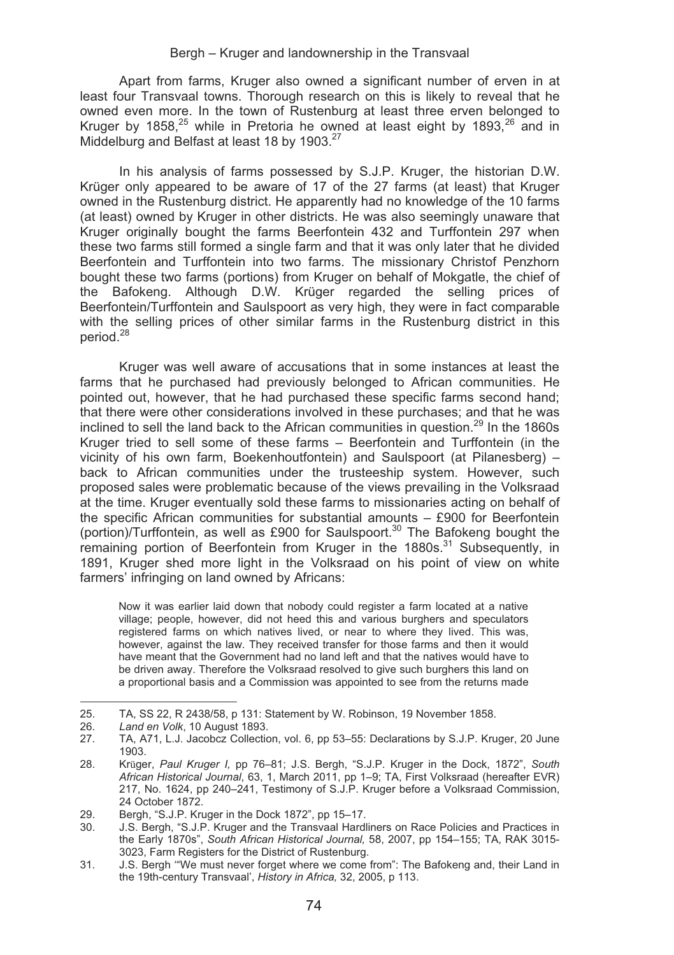Apart from farms, Kruger also owned a significant number of erven in at least four Transvaal towns. Thorough research on this is likely to reveal that he owned even more. In the town of Rustenburg at least three erven belonged to Kruger by 1858,<sup>25</sup> while in Pretoria he owned at least eight by 1893,<sup>26</sup> and in Middelburg and Belfast at least 18 by 1903.<sup>27</sup>

In his analysis of farms possessed by S.J.P. Kruger, the historian D.W. Krüger only appeared to be aware of 17 of the 27 farms (at least) that Kruger owned in the Rustenburg district. He apparently had no knowledge of the 10 farms (at least) owned by Kruger in other districts. He was also seemingly unaware that Kruger originally bought the farms Beerfontein 432 and Turffontein 297 when these two farms still formed a single farm and that it was only later that he divided Beerfontein and Turffontein into two farms. The missionary Christof Penzhorn bought these two farms (portions) from Kruger on behalf of Mokgatle, the chief of the Bafokeng. Although D.W. Krüger regarded the selling prices of Beerfontein/Turffontein and Saulspoort as very high, they were in fact comparable with the selling prices of other similar farms in the Rustenburg district in this period.<sup>28</sup>

Kruger was well aware of accusations that in some instances at least the farms that he purchased had previously belonged to African communities. He pointed out, however, that he had purchased these specific farms second hand; that there were other considerations involved in these purchases; and that he was inclined to sell the land back to the African communities in question.<sup>29</sup> In the 1860s Kruger tried to sell some of these farms – Beerfontein and Turffontein (in the vicinity of his own farm, Boekenhoutfontein) and Saulspoort (at Pilanesberg) – back to African communities under the trusteeship system. However, such proposed sales were problematic because of the views prevailing in the Volksraad at the time. Kruger eventually sold these farms to missionaries acting on behalf of the specific African communities for substantial amounts – £900 for Beerfontein (portion)/Turffontein, as well as £900 for Saulspoort.<sup>30</sup> The Bafokeng bought the remaining portion of Beerfontein from Kruger in the 1880s.<sup>31</sup> Subsequently, in 1891, Kruger shed more light in the Volksraad on his point of view on white farmers' infringing on land owned by Africans:

Now it was earlier laid down that nobody could register a farm located at a native village; people, however, did not heed this and various burghers and speculators registered farms on which natives lived, or near to where they lived. This was, however, against the law. They received transfer for those farms and then it would have meant that the Government had no land left and that the natives would have to be driven away. Therefore the Volksraad resolved to give such burghers this land on a proportional basis and a Commission was appointed to see from the returns made

<sup>25.</sup> TA, SS 22, R 2438/58, p 131: Statement by W. Robinson, 19 November 1858.

<sup>26.</sup> *Land en Volk*, 10 August 1893.

<sup>27.</sup> TA, A71, L.J. Jacobcz Collection, vol. 6, pp 53–55: Declarations by S.J.P. Kruger, 20 June 1903.

<sup>28.</sup> Krüger, *Paul Kruger I,* pp 76–81; J.S. Bergh, "S.J.P. Kruger in the Dock, 1872", *South African Historical Journal*, 63, 1, March 2011, pp 1–9; TA, First Volksraad (hereafter EVR) 217, No. 1624, pp 240–241, Testimony of S.J.P. Kruger before a Volksraad Commission, 24 October 1872.

<sup>29.</sup> Bergh, "S.J.P. Kruger in the Dock 1872", pp 15–17.

<sup>30.</sup> J.S. Bergh, "S.J.P. Kruger and the Transvaal Hardliners on Race Policies and Practices in the Early 1870s", *South African Historical Journal,* 58, 2007, pp 154–155; TA, RAK 3015- 3023, Farm Registers for the District of Rustenburg.

<sup>31.</sup> J.S. Bergh '"We must never forget where we come from": The Bafokeng and, their Land in the 19th-century Transvaal', *History in Africa,* 32, 2005, p 113.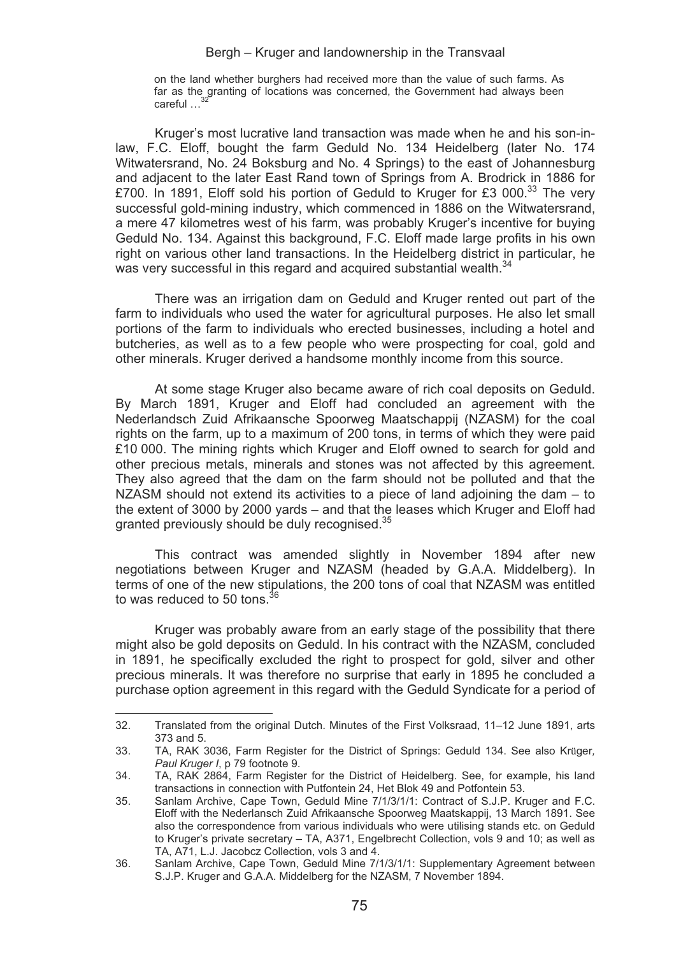on the land whether burghers had received more than the value of such farms. As far as the granting of locations was concerned, the Government had always been careful ...

Kruger's most lucrative land transaction was made when he and his son-inlaw, F.C. Eloff, bought the farm Geduld No. 134 Heidelberg (later No. 174 Witwatersrand, No. 24 Boksburg and No. 4 Springs) to the east of Johannesburg and adjacent to the later East Rand town of Springs from A. Brodrick in 1886 for £700. In 1891, Eloff sold his portion of Geduld to Kruger for £3 000.<sup>33</sup> The very successful gold-mining industry, which commenced in 1886 on the Witwatersrand, a mere 47 kilometres west of his farm, was probably Kruger's incentive for buying Geduld No. 134. Against this background, F.C. Eloff made large profits in his own right on various other land transactions. In the Heidelberg district in particular, he was very successful in this regard and acquired substantial wealth.<sup>34</sup>

There was an irrigation dam on Geduld and Kruger rented out part of the farm to individuals who used the water for agricultural purposes. He also let small portions of the farm to individuals who erected businesses, including a hotel and butcheries, as well as to a few people who were prospecting for coal, gold and other minerals. Kruger derived a handsome monthly income from this source.

At some stage Kruger also became aware of rich coal deposits on Geduld. By March 1891, Kruger and Eloff had concluded an agreement with the Nederlandsch Zuid Afrikaansche Spoorweg Maatschappij (NZASM) for the coal rights on the farm, up to a maximum of 200 tons, in terms of which they were paid £10 000. The mining rights which Kruger and Eloff owned to search for gold and other precious metals, minerals and stones was not affected by this agreement. They also agreed that the dam on the farm should not be polluted and that the NZASM should not extend its activities to a piece of land adjoining the dam – to the extent of 3000 by 2000 yards – and that the leases which Kruger and Eloff had granted previously should be duly recognised.35

This contract was amended slightly in November 1894 after new negotiations between Kruger and NZASM (headed by G.A.A. Middelberg). In terms of one of the new stipulations, the 200 tons of coal that NZASM was entitled to was reduced to 50 tons  $36$ 

Kruger was probably aware from an early stage of the possibility that there might also be gold deposits on Geduld. In his contract with the NZASM, concluded in 1891, he specifically excluded the right to prospect for gold, silver and other precious minerals. It was therefore no surprise that early in 1895 he concluded a purchase option agreement in this regard with the Geduld Syndicate for a period of

<u> Alexandria de la contexta de la contexta de la contexta de la contexta de la contexta de la contexta de la c</u>

<sup>32.</sup> Translated from the original Dutch. Minutes of the First Volksraad, 11–12 June 1891, arts 373 and 5.

<sup>33.</sup> TA, RAK 3036, Farm Register for the District of Springs: Geduld 134. See also Krüger*, Paul Kruger I*, p 79 footnote 9.

<sup>34.</sup> TA, RAK 2864, Farm Register for the District of Heidelberg. See, for example, his land transactions in connection with Putfontein 24, Het Blok 49 and Potfontein 53.

<sup>35.</sup> Sanlam Archive, Cape Town, Geduld Mine 7/1/3/1/1: Contract of S.J.P. Kruger and F.C. Eloff with the Nederlansch Zuid Afrikaansche Spoorweg Maatskappij, 13 March 1891. See also the correspondence from various individuals who were utilising stands etc. on Geduld to Kruger's private secretary – TA, A371, Engelbrecht Collection, vols 9 and 10; as well as TA, A71, L.J. Jacobcz Collection, vols 3 and 4.

<sup>36.</sup> Sanlam Archive, Cape Town, Geduld Mine 7/1/3/1/1: Supplementary Agreement between S.J.P. Kruger and G.A.A. Middelberg for the NZASM, 7 November 1894.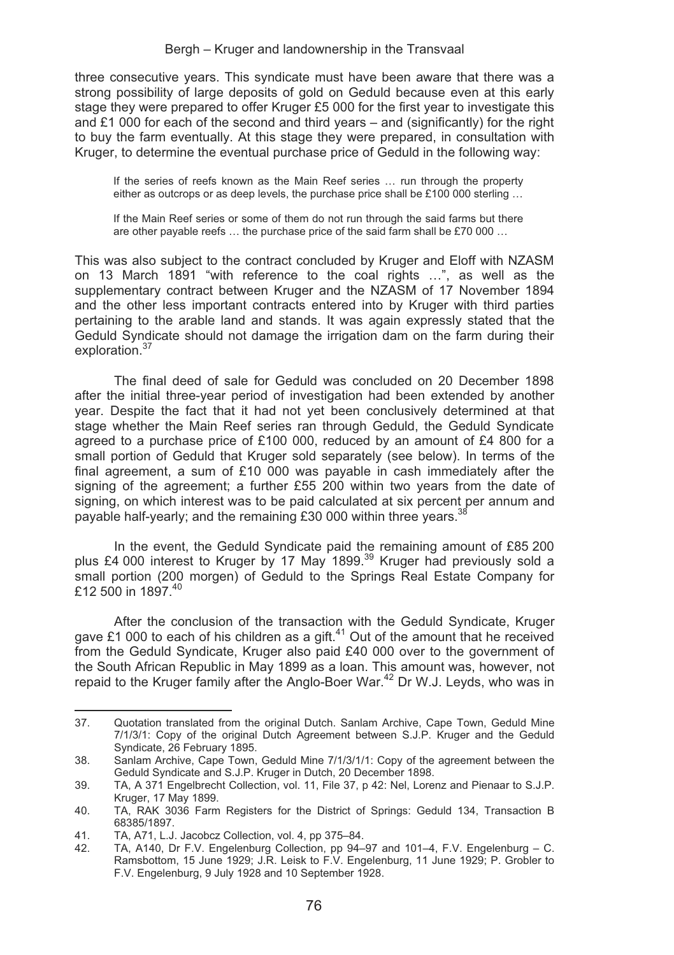three consecutive years. This syndicate must have been aware that there was a strong possibility of large deposits of gold on Geduld because even at this early stage they were prepared to offer Kruger £5 000 for the first year to investigate this and  $£1 000$  for each of the second and third years – and (significantly) for the right to buy the farm eventually. At this stage they were prepared, in consultation with Kruger, to determine the eventual purchase price of Geduld in the following way:

If the series of reefs known as the Main Reef series … run through the property either as outcrops or as deep levels, the purchase price shall be £100 000 sterling ...

If the Main Reef series or some of them do not run through the said farms but there are other payable reefs … the purchase price of the said farm shall be £70 000 …

This was also subject to the contract concluded by Kruger and Eloff with NZASM on 13 March 1891 "with reference to the coal rights …", as well as the supplementary contract between Kruger and the NZASM of 17 November 1894 and the other less important contracts entered into by Kruger with third parties pertaining to the arable land and stands. It was again expressly stated that the Geduld Syndicate should not damage the irrigation dam on the farm during their exploration.<sup>37</sup>

The final deed of sale for Geduld was concluded on 20 December 1898 after the initial three-year period of investigation had been extended by another year. Despite the fact that it had not yet been conclusively determined at that stage whether the Main Reef series ran through Geduld, the Geduld Syndicate agreed to a purchase price of £100 000, reduced by an amount of £4 800 for a small portion of Geduld that Kruger sold separately (see below). In terms of the final agreement, a sum of £10 000 was payable in cash immediately after the signing of the agreement; a further £55 200 within two years from the date of signing, on which interest was to be paid calculated at six percent per annum and payable half-yearly; and the remaining £30 000 within three years.<sup>38</sup>

In the event, the Geduld Syndicate paid the remaining amount of £85 200 plus £4 000 interest to Kruger by 17 May 1899.<sup>39</sup> Kruger had previously sold a small portion (200 morgen) of Geduld to the Springs Real Estate Company for £12 500 in 1897.40

After the conclusion of the transaction with the Geduld Syndicate, Kruger gave £1 000 to each of his children as a gift. $41$  Out of the amount that he received from the Geduld Syndicate, Kruger also paid £40 000 over to the government of the South African Republic in May 1899 as a loan. This amount was, however, not repaid to the Kruger family after the Anglo-Boer War.<sup>42</sup> Dr W.J. Leyds, who was in

<sup>&</sup>lt;u> 1989 - Johann Stein, mars an t-Amerikaansk kommunister (</u> 37. Quotation translated from the original Dutch. Sanlam Archive, Cape Town, Geduld Mine 7/1/3/1: Copy of the original Dutch Agreement between S.J.P. Kruger and the Geduld Syndicate, 26 February 1895.

<sup>38.</sup> Sanlam Archive, Cape Town, Geduld Mine 7/1/3/1/1: Copy of the agreement between the Geduld Syndicate and S.J.P. Kruger in Dutch, 20 December 1898.

<sup>39.</sup> TA, A 371 Engelbrecht Collection, vol. 11, File 37, p 42: Nel, Lorenz and Pienaar to S.J.P. Kruger, 17 May 1899.

<sup>40.</sup> TA, RAK 3036 Farm Registers for the District of Springs: Geduld 134, Transaction B 68385/1897.

<sup>41.</sup> TA, A71, L.J. Jacobcz Collection, vol. 4, pp 375–84.<br>42. TA, A140, Dr. E.V. Engelepburg Collection, pp 94–

TA, A140, Dr F.V. Engelenburg Collection, pp 94–97 and 101–4, F.V. Engelenburg – C. Ramsbottom, 15 June 1929; J.R. Leisk to F.V. Engelenburg, 11 June 1929; P. Grobler to F.V. Engelenburg, 9 July 1928 and 10 September 1928.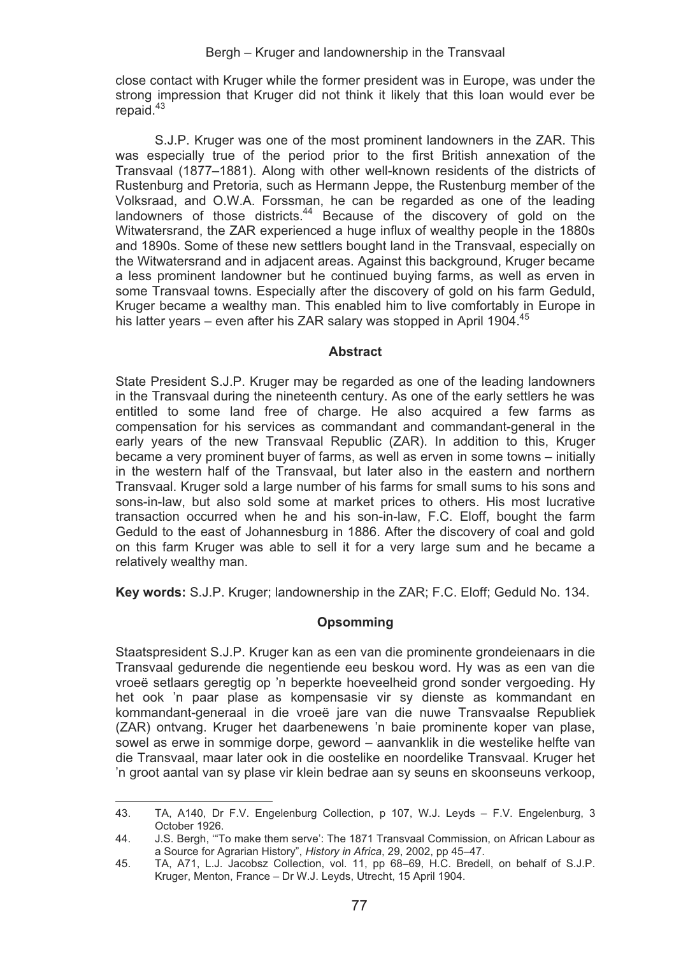close contact with Kruger while the former president was in Europe, was under the strong impression that Kruger did not think it likely that this loan would ever be repaid. $43$ 

S.J.P. Kruger was one of the most prominent landowners in the ZAR. This was especially true of the period prior to the first British annexation of the Transvaal (1877–1881). Along with other well-known residents of the districts of Rustenburg and Pretoria, such as Hermann Jeppe, the Rustenburg member of the Volksraad, and O.W.A. Forssman, he can be regarded as one of the leading landowners of those districts.<sup>44</sup> Because of the discovery of gold on the Witwatersrand, the ZAR experienced a huge influx of wealthy people in the 1880s and 1890s. Some of these new settlers bought land in the Transvaal, especially on the Witwatersrand and in adjacent areas. Against this background, Kruger became a less prominent landowner but he continued buying farms, as well as erven in some Transvaal towns. Especially after the discovery of gold on his farm Geduld, Kruger became a wealthy man. This enabled him to live comfortably in Europe in his latter years – even after his ZAR salary was stopped in April 1904.<sup>45</sup>

#### **Abstract**

State President S.J.P. Kruger may be regarded as one of the leading landowners in the Transvaal during the nineteenth century. As one of the early settlers he was entitled to some land free of charge. He also acquired a few farms as compensation for his services as commandant and commandant-general in the early years of the new Transvaal Republic (ZAR). In addition to this, Kruger became a very prominent buyer of farms, as well as erven in some towns – initially in the western half of the Transvaal, but later also in the eastern and northern Transvaal. Kruger sold a large number of his farms for small sums to his sons and sons-in-law, but also sold some at market prices to others. His most lucrative transaction occurred when he and his son-in-law, F.C. Eloff, bought the farm Geduld to the east of Johannesburg in 1886. After the discovery of coal and gold on this farm Kruger was able to sell it for a very large sum and he became a relatively wealthy man.

**Key words:** S.J.P. Kruger; landownership in the ZAR; F.C. Eloff; Geduld No. 134.

## **Opsomming**

Staatspresident S.J.P. Kruger kan as een van die prominente grondeienaars in die Transvaal gedurende die negentiende eeu beskou word. Hy was as een van die vroeë setlaars geregtig op 'n beperkte hoeveelheid grond sonder vergoeding. Hy het ook 'n paar plase as kompensasie vir sy dienste as kommandant en kommandant-generaal in die vroeë jare van die nuwe Transvaalse Republiek (ZAR) ontvang. Kruger het daarbenewens 'n baie prominente koper van plase, sowel as erwe in sommige dorpe, geword – aanvanklik in die westelike helfte van die Transvaal, maar later ook in die oostelike en noordelike Transvaal. Kruger het 'n groot aantal van sy plase vir klein bedrae aan sy seuns en skoonseuns verkoop,

<u> Alexandria de la contexta de la contexta de la contexta de la contexta de la contexta de la contexta de la c</u>

<sup>43.</sup> TA, A140, Dr F.V. Engelenburg Collection, p 107, W.J. Leyds – F.V. Engelenburg, 3 October 1926.

<sup>44.</sup> J.S. Bergh, '"To make them serve': The 1871 Transvaal Commission, on African Labour as a Source for Agrarian History", *History in Africa*, 29, 2002, pp 45–47.

<sup>45.</sup> TA, A71, L.J. Jacobsz Collection, vol. 11, pp 68–69, H.C. Bredell, on behalf of S.J.P. Kruger, Menton, France – Dr W.J. Leyds, Utrecht, 15 April 1904.